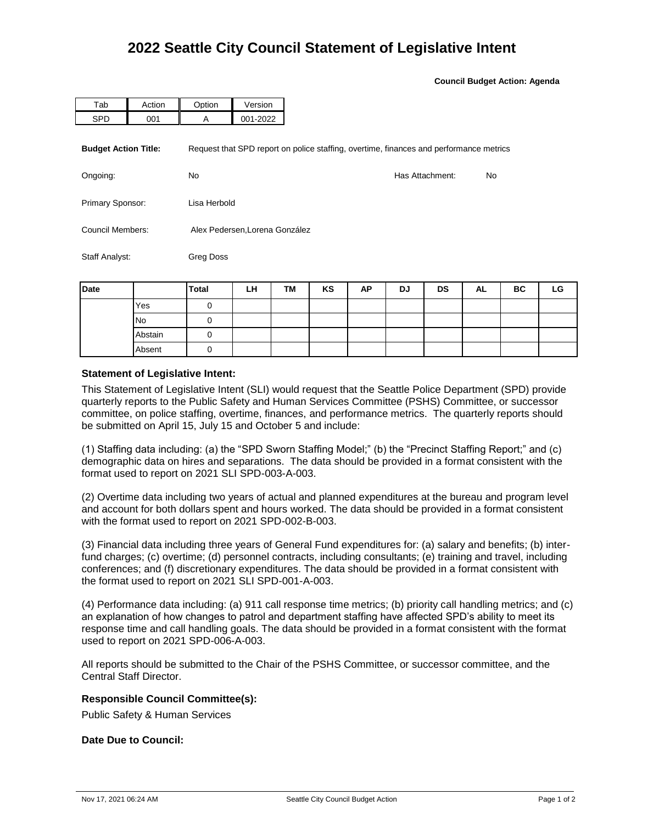**Council Budget Action: Agenda**

| Tab                         | Action | Option                         | Version  |                                                                                        |    |  |  |  |  |
|-----------------------------|--------|--------------------------------|----------|----------------------------------------------------------------------------------------|----|--|--|--|--|
| <b>SPD</b>                  | 001    | A                              | 001-2022 |                                                                                        |    |  |  |  |  |
| <b>Budget Action Title:</b> |        |                                |          | Request that SPD report on police staffing, overtime, finances and performance metrics |    |  |  |  |  |
| Ongoing:                    |        | No.                            |          | Has Attachment:                                                                        | No |  |  |  |  |
| Primary Sponsor:            |        | Lisa Herbold                   |          |                                                                                        |    |  |  |  |  |
| Council Members:            |        | Alex Pedersen, Lorena González |          |                                                                                        |    |  |  |  |  |
| Staff Analyst:              |        | Greg Doss                      |          |                                                                                        |    |  |  |  |  |

| Date |           | <b>Total</b> | LH | TM | KS | AP | DJ | DS | AL | BC | LG |
|------|-----------|--------------|----|----|----|----|----|----|----|----|----|
|      | Yes       |              |    |    |    |    |    |    |    |    |    |
|      | <b>No</b> |              |    |    |    |    |    |    |    |    |    |
|      | Abstain   |              |    |    |    |    |    |    |    |    |    |
|      | Absent    |              |    |    |    |    |    |    |    |    |    |

## **Statement of Legislative Intent:**

This Statement of Legislative Intent (SLI) would request that the Seattle Police Department (SPD) provide quarterly reports to the Public Safety and Human Services Committee (PSHS) Committee, or successor committee, on police staffing, overtime, finances, and performance metrics. The quarterly reports should be submitted on April 15, July 15 and October 5 and include:

(1) Staffing data including: (a) the "SPD Sworn Staffing Model;" (b) the "Precinct Staffing Report;" and (c) demographic data on hires and separations. The data should be provided in a format consistent with the format used to report on 2021 SLI SPD-003-A-003.

(2) Overtime data including two years of actual and planned expenditures at the bureau and program level and account for both dollars spent and hours worked. The data should be provided in a format consistent with the format used to report on 2021 SPD-002-B-003.

(3) Financial data including three years of General Fund expenditures for: (a) salary and benefits; (b) interfund charges; (c) overtime; (d) personnel contracts, including consultants; (e) training and travel, including conferences; and (f) discretionary expenditures. The data should be provided in a format consistent with the format used to report on 2021 SLI SPD-001-A-003.

(4) Performance data including: (a) 911 call response time metrics; (b) priority call handling metrics; and (c) an explanation of how changes to patrol and department staffing have affected SPD's ability to meet its response time and call handling goals. The data should be provided in a format consistent with the format used to report on 2021 SPD-006-A-003.

All reports should be submitted to the Chair of the PSHS Committee, or successor committee, and the Central Staff Director.

## **Responsible Council Committee(s):**

Public Safety & Human Services

## **Date Due to Council:**